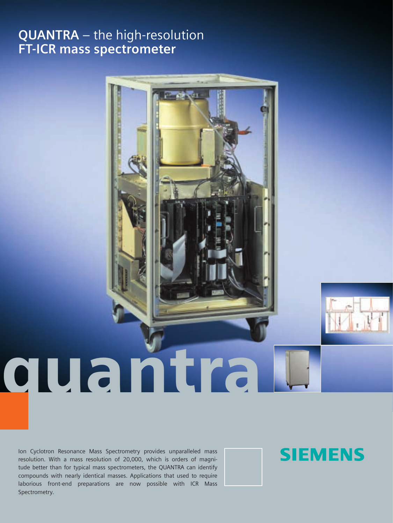# **QUANTRA** – the high-resolution **FT-ICR mass spectrometer**



Ion Cyclotron Resonance Mass Spectrometry provides unparalleled mass resolution. With a mass resolution of 20,000, which is orders of magnitude better than for typical mass spectrometers, the QUANTRA can identify compounds with nearly identical masses. Applications that used to require laborious front-end preparations are now possible with ICR Mass Spectrometry.

# **SIEMENS**